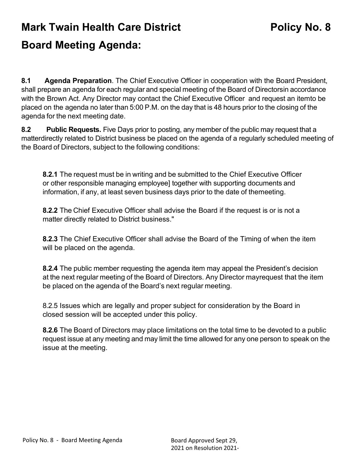## **Mark Twain Health Care District <b>Policy No. 8 Board Meeting Agenda:**

**8.1 Agenda Preparation**. The Chief Executive Officer in cooperation with the Board President, shall prepare an agenda for each regular and special meeting of the Board of Directorsin accordance with the Brown Act. Any Director may contact the Chief Executive Officer and request an itemto be placed on the agenda no later than 5:00 P.M. on the day that is 48 hours prior to the closing of the agenda for the next meeting date.

**8.2 Public Requests.** Five Days prior to posting, any member of the public may request that a matterdirectly related to District business be placed on the agenda of a regularly scheduled meeting of the Board of Directors, subject to the following conditions:

**8.2.1** The request must be in writing and be submitted to the Chief Executive Officer or other responsible managing employee] together with supporting documents and information, if any, at least seven business days prior to the date of themeeting.

**8.2.2** The Chief Executive Officer shall advise the Board if the request is or is not a matter directly related to District business."

**8.2.3** The Chief Executive Officer shall advise the Board of the Timing of when the item will be placed on the agenda.

**8.2.4** The public member requesting the agenda item may appeal the President's decision at the next regular meeting of the Board of Directors. Any Director mayrequest that the item be placed on the agenda of the Board's next regular meeting.

8.2.5 Issues which are legally and proper subject for consideration by the Board in closed session will be accepted under this policy.

**8.2.6** The Board of Directors may place limitations on the total time to be devoted to a public request issue at any meeting and may limit the time allowed for any one person to speak on the issue at the meeting.